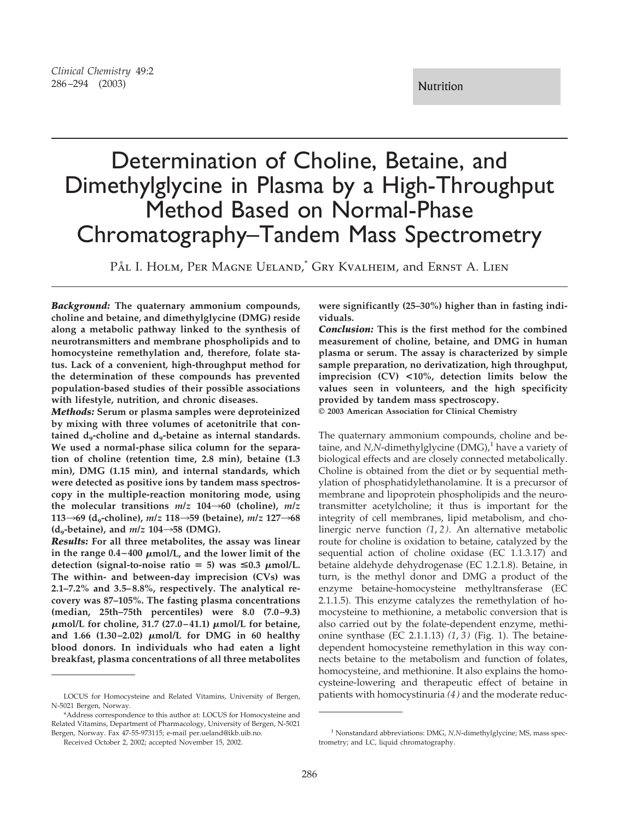# *Clinical Chemistry* 49:2 286–294 (2003) Nutrition

# Determination of Choline, Betaine, and Dimethylglycine in Plasma by a High-Throughput Method Based on Normal-Phase Chromatography–Tandem Mass Spectrometry

PÅL I. HOLM, PER MAGNE UELAND,<sup>\*</sup> GRY KVALHEIM, and ERNST A. LIEN

*Background:* **The quaternary ammonium compounds, choline and betaine, and dimethylglycine (DMG) reside along a metabolic pathway linked to the synthesis of neurotransmitters and membrane phospholipids and to homocysteine remethylation and, therefore, folate status. Lack of a convenient, high-throughput method for the determination of these compounds has prevented population-based studies of their possible associations with lifestyle, nutrition, and chronic diseases.** 

*Methods:* **Serum or plasma samples were deproteinized by mixing with three volumes of acetonitrile that con**tained d<sub>9</sub>-choline and d<sub>9</sub>-betaine as internal standards. **We used a normal-phase silica column for the separation of choline (retention time, 2.8 min), betaine (1.3 min), DMG (1.15 min), and internal standards, which were detected as positive ions by tandem mass spectroscopy in the multiple-reaction monitoring mode, using**  the molecular transitions  $m/z$  104 $\rightarrow$ 60 (choline),  $m/z$ **113→69 (d<sub>9</sub>-choline),** *m/z* **118→59 (betaine),** *m/z* **127→68**  $(d_0-betaine)$ , and  $m/z$  104 $\rightarrow$ 58 (DMG).

*Results:* **For all three metabolites, the assay was linear**  in the range  $0.4 - 400 \mu \text{mol/L}$ , and the lower limit of the detection (signal-to-noise ratio  $= 5$ ) was  $\leq 0.3$   $\mu$ mol/L. **The within- and between-day imprecision (CVs) was 2.1–7.2% and 3.5– 8.8%, respectively. The analytical recovery was 87–105%. The fasting plasma concentrations (median, 25th–75th percentiles) were 8.0 (7.0–9.3)**  �**mol/L for choline, 31.7 (27.0 – 41.1)** �**mol/L for betaine,**  and 1.66 (1.30-2.02)  $\mu$ mol/L for DMG in 60 healthy **blood donors. In individuals who had eaten a light breakfast, plasma concentrations of all three metabolites** 

**were significantly (25–30%) higher than in fasting individuals.** 

*Conclusion:* **This is the first method for the combined measurement of choline, betaine, and DMG in human plasma or serum. The assay is characterized by simple sample preparation, no derivatization, high throughput, imprecision (CV) <10%, detection limits below the values seen in volunteers, and the high specificity provided by tandem mass spectroscopy.** 

**© 2003 American Association for Clinical Chemistry** 

The quaternary ammonium compounds, choline and betaine, and *N*,*N*-dimethylglycine (DMG),<sup>1</sup> have a variety of biological effects and are closely connected metabolically. Choline is obtained from the diet or by sequential methylation of phosphatidylethanolamine. It is a precursor of membrane and lipoprotein phospholipids and the neurotransmitter acetylcholine; it thus is important for the integrity of cell membranes, lipid metabolism, and cholinergic nerve function *(1*, *2)*. An alternative metabolic route for choline is oxidation to betaine, catalyzed by the sequential action of choline oxidase (EC 1.1.3.17) and betaine aldehyde dehydrogenase (EC 1.2.1.8). Betaine, in turn, is the methyl donor and DMG a product of the enzyme betaine-homocysteine methyltransferase (EC 2.1.1.5). This enzyme catalyzes the remethylation of homocysteine to methionine, a metabolic conversion that is also carried out by the folate-dependent enzyme, methionine synthase (EC 2.1.1.13) *(1*, *3)* (Fig. 1). The betainedependent homocysteine remethylation in this way connects betaine to the metabolism and function of folates, homocysteine, and methionine. It also explains the homocysteine-lowering and therapeutic effect of betaine in patients with homocystinuria *(4 )* and the moderate reduc-

LOCUS for Homocysteine and Related Vitamins, University of Bergen, N-5021 Bergen, Norway.

<sup>\*</sup>Address correspondence to this author at: LOCUS for Homocysteine and Related Vitamins, Department of Pharmacology, University of Bergen, N-5021 Bergen, Norway. Fax 47-55-973115; e-mail per.ueland@ikb.uib.no.

Received October 2, 2002; accepted November 15, 2002.

<sup>&</sup>lt;sup>1</sup> Nonstandard abbreviations: DMG, *N,N*-dimethylglycine; MS, mass spectrometry; and LC, liquid chromatography.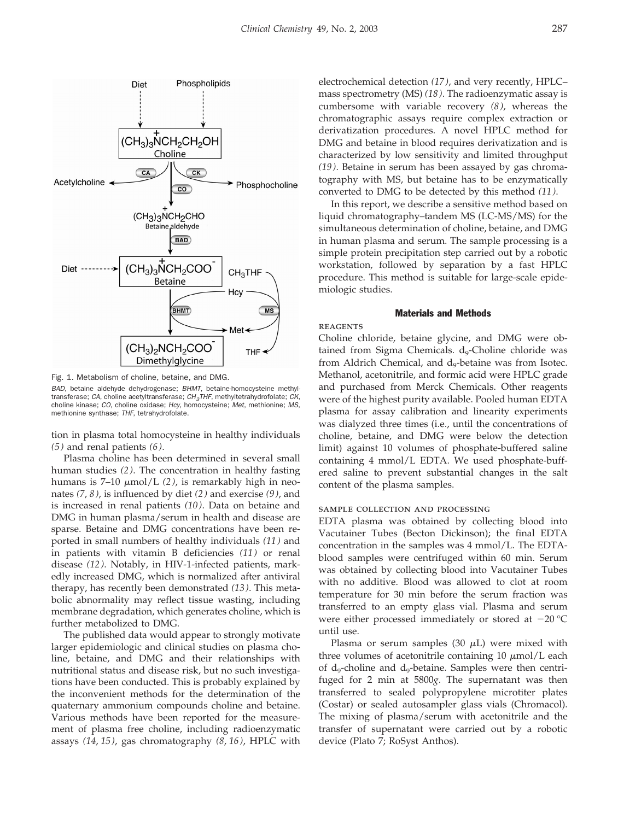



Fig. 1. Metabolism of choline, betaine, and DMG.

*BAD*, betaine aldehyde dehydrogenase; *BHMT*, betaine-homocysteine methyltransferase; *CA*, choline acetyltransferase; *CH3THF*, methyltetrahydrofolate; *CK*, choline kinase; *CO*, choline oxidase; *Hcy*, homocysteine; *Met*, methionine; *MS*, methionine synthase; *THF*, tetrahydrofolate.

tion in plasma total homocysteine in healthy individuals *(5)* and renal patients *(6 )*.

Plasma choline has been determined in several small human studies *(2 )*. The concentration in healthy fasting humans is  $7-10 \mu \text{mol/L}$  (2), is remarkably high in neonates *(7*, *8)*, is influenced by diet *(2)* and exercise *(9)*, and is increased in renal patients *(10)*. Data on betaine and DMG in human plasma/serum in health and disease are sparse. Betaine and DMG concentrations have been reported in small numbers of healthy individuals *(11)* and in patients with vitamin B deficiencies *(11 )* or renal disease *(12 )*. Notably, in HIV-1-infected patients, markedly increased DMG, which is normalized after antiviral therapy, has recently been demonstrated *(13 )*. This metabolic abnormality may reflect tissue wasting, including membrane degradation, which generates choline, which is further metabolized to DMG.

The published data would appear to strongly motivate larger epidemiologic and clinical studies on plasma choline, betaine, and DMG and their relationships with nutritional status and disease risk, but no such investigations have been conducted. This is probably explained by the inconvenient methods for the determination of the quaternary ammonium compounds choline and betaine. Various methods have been reported for the measurement of plasma free choline, including radioenzymatic assays *(14*, *15 )*, gas chromatography *(8*, *16)*, HPLC with electrochemical detection *(17)*, and very recently, HPLC– mass spectrometry (MS) *(18 )*. The radioenzymatic assay is cumbersome with variable recovery *(8)*, whereas the chromatographic assays require complex extraction or derivatization procedures. A novel HPLC method for DMG and betaine in blood requires derivatization and is characterized by low sensitivity and limited throughput *(19)*. Betaine in serum has been assayed by gas chromatography with MS, but betaine has to be enzymatically converted to DMG to be detected by this method *(11 )*.

In this report, we describe a sensitive method based on liquid chromatography–tandem MS (LC-MS/MS) for the simultaneous determination of choline, betaine, and DMG in human plasma and serum. The sample processing is a simple protein precipitation step carried out by a robotic workstation, followed by separation by a fast HPLC procedure. This method is suitable for large-scale epidemiologic studies.

# Materials and Methods

# **REAGENTS**

Choline chloride, betaine glycine, and DMG were obtained from Sigma Chemicals.  $d_{9}$ -Choline chloride was from Aldrich Chemical, and  $d_9$ -betaine was from Isotec. Methanol, acetonitrile, and formic acid were HPLC grade and purchased from Merck Chemicals. Other reagents were of the highest purity available. Pooled human EDTA plasma for assay calibration and linearity experiments was dialyzed three times (i.e., until the concentrations of choline, betaine, and DMG were below the detection limit) against 10 volumes of phosphate-buffered saline containing 4 mmol/L EDTA. We used phosphate-buffered saline to prevent substantial changes in the salt content of the plasma samples.

# sample collection and processing

EDTA plasma was obtained by collecting blood into Vacutainer Tubes (Becton Dickinson); the final EDTA concentration in the samples was 4 mmol/L. The EDTAblood samples were centrifuged within 60 min. Serum was obtained by collecting blood into Vacutainer Tubes with no additive. Blood was allowed to clot at room temperature for 30 min before the serum fraction was transferred to an empty glass vial. Plasma and serum were either processed immediately or stored at  $-20$  °C until use.

Plasma or serum samples (30  $\mu$ L) were mixed with three volumes of acetonitrile containing  $10 \mu \text{mol/L}$  each of  $d_9$ -choline and  $d_9$ -betaine. Samples were then centrifuged for 2 min at 5800*g*. The supernatant was then transferred to sealed polypropylene microtiter plates (Costar) or sealed autosampler glass vials (Chromacol). The mixing of plasma/serum with acetonitrile and the transfer of supernatant were carried out by a robotic device (Plato 7; RoSyst Anthos).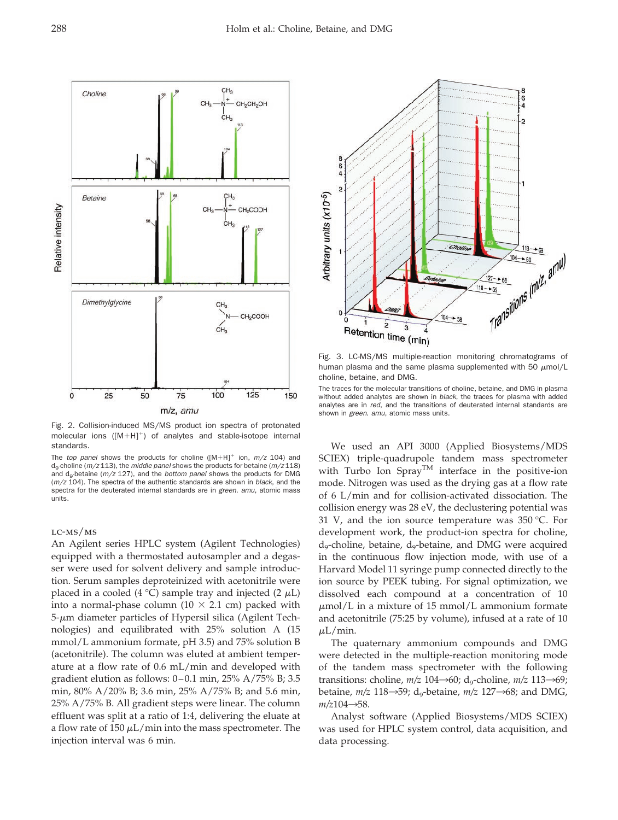

Fig. 2. Collision-induced MS/MS product ion spectra of protonated molecular ions ( $[M+H]^+$ ) of analytes and stable-isotope internal standards.

The *top panel* shows the products for choline ( $[M+H]^+$  ion,  $m/z$  104) and d9-choline (*m/z* 113), the *middle panel* shows the products for betaine (*m/z* 118) and d<sub>o</sub>-betaine ( $m/z$  127), and the *bottom panel* shows the products for DMG (*m/z* 104). The spectra of the authentic standards are shown in *black*, and the spectra for the deuterated internal standards are in *green*. *amu*, atomic mass units.

# lc-ms/ms

An Agilent series HPLC system (Agilent Technologies) equipped with a thermostated autosampler and a degasser were used for solvent delivery and sample introduction. Serum samples deproteinized with acetonitrile were placed in a cooled (4 °C) sample tray and injected (2  $\mu$ L) into a normal-phase column (10  $\times$  2.1 cm) packed with  $5$ - $\mu$ m diameter particles of Hypersil silica (Agilent Technologies) and equilibrated with 25% solution A (15 mmol/L ammonium formate, pH 3.5) and 75% solution B (acetonitrile). The column was eluted at ambient temperature at a flow rate of 0.6 mL/min and developed with gradient elution as follows:  $0-0.1$  min,  $25\%$  A/75% B; 3.5 min, 80% A/20% B; 3.6 min, 25% A/75% B; and 5.6 min, 25% A/75% B. All gradient steps were linear. The column effluent was split at a ratio of 1:4, delivering the eluate at a flow rate of 150  $\mu$ L/min into the mass spectrometer. The injection interval was 6 min.



Fig. 3. LC-MS/MS multiple-reaction monitoring chromatograms of human plasma and the same plasma supplemented with 50  $\mu$ mol/L choline, betaine, and DMG.

The traces for the molecular transitions of choline, betaine, and DMG in plasma without added analytes are shown in *black*, the traces for plasma with added analytes are in *red*, and the transitions of deuterated internal standards are shown in *green*. *amu*, atomic mass units.

We used an API 3000 (Applied Biosystems/MDS SCIEX) triple-quadrupole tandem mass spectrometer with Turbo Ion Spray<sup>TM</sup> interface in the positive-ion mode. Nitrogen was used as the drying gas at a flow rate of 6 L/min and for collision-activated dissociation. The collision energy was 28 eV, the declustering potential was 31 V, and the ion source temperature was  $350 \degree C$ . For development work, the product-ion spectra for choline,  $d_{9}$ -choline, betaine,  $d_{9}$ -betaine, and DMG were acquired in the continuous flow injection mode, with use of a Harvard Model 11 syringe pump connected directly to the ion source by PEEK tubing. For signal optimization, we dissolved each compound at a concentration of 10  $\mu$ mol/L in a mixture of 15 mmol/L ammonium formate and acetonitrile (75:25 by volume), infused at a rate of 10  $\mu$ L/min.

The quaternary ammonium compounds and DMG were detected in the multiple-reaction monitoring mode of the tandem mass spectrometer with the following transitions: choline,  $m/z$  104 $\rightarrow$ 60; d<sub>9</sub>-choline,  $m/z$  113 $\rightarrow$ 69; betaine,  $m/z$  118 $\rightarrow$ 59; d<sub>9</sub>-betaine,  $m/z$  127 $\rightarrow$ 68; and DMG,  $m/z104 \rightarrow 58$ .

Analyst software (Applied Biosystems/MDS SCIEX) was used for HPLC system control, data acquisition, and data processing.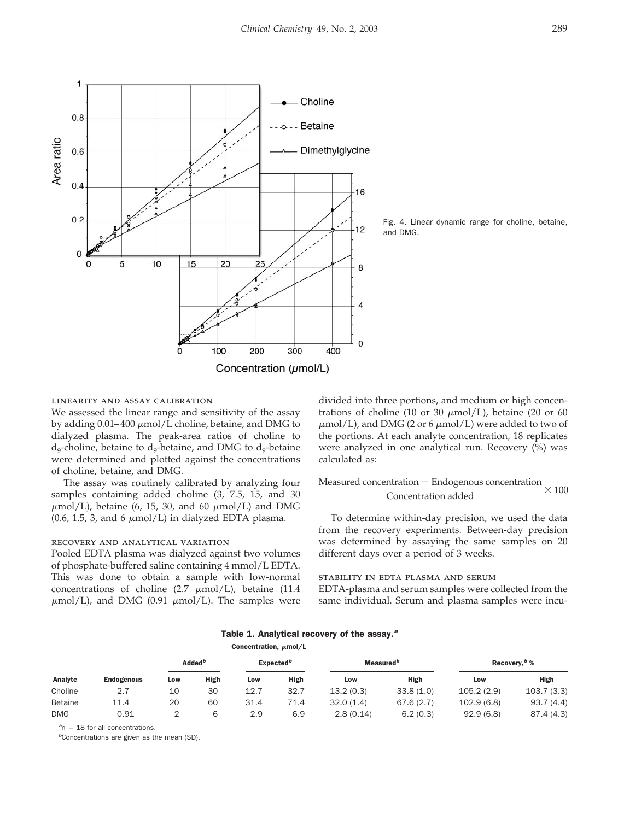



Fig. 4. Linear dynamic range for choline, betaine, and DMG.

### linearity and assay calibration

We assessed the linear range and sensitivity of the assay by adding  $0.01-400 \mu \text{mol/L}$  choline, betaine, and DMG to dialyzed plasma. The peak-area ratios of choline to  $d_9$ -choline, betaine to  $d_9$ -betaine, and DMG to  $d_9$ -betaine were determined and plotted against the concentrations of choline, betaine, and DMG.

The assay was routinely calibrated by analyzing four samples containing added choline (3, 7.5, 15, and 30  $\mu$ mol/L), betaine (6, 15, 30, and 60  $\mu$ mol/L) and DMG  $(0.6, 1.5, 3, \text{ and } 6 \mu \text{mol/L})$  in dialyzed EDTA plasma.

#### recovery and analytical variation

Pooled EDTA plasma was dialyzed against two volumes of phosphate-buffered saline containing 4 mmol/L EDTA. This was done to obtain a sample with low-normal concentrations of choline (2.7  $\mu$ mol/L), betaine (11.4  $\mu$ mol/L), and DMG (0.91  $\mu$ mol/L). The samples were divided into three portions, and medium or high concentrations of choline (10 or 30  $\mu$ mol/L), betaine (20 or 60  $\mu$ mol/L), and DMG (2 or 6  $\mu$ mol/L) were added to two of the portions. At each analyte concentration, 18 replicates were analyzed in one analytical run. Recovery (%) was calculated as:

$$
\frac{\text{Measurementration} - \text{Endogenous concentration}}{\text{Concentration added}} \times 100
$$

To determine within-day precision, we used the data from the recovery experiments. Between-day precision was determined by assaying the same samples on 20 different days over a period of 3 weeks.

# stability in edta plasma and serum

EDTA-plasma and serum samples were collected from the same individual. Serum and plasma samples were incu-

|                | Table 1. Analytical recovery of the assay. <sup>2</sup><br>Concentration, $\mu$ mol/L |                    |      |                       |      |                       |           |                          |            |
|----------------|---------------------------------------------------------------------------------------|--------------------|------|-----------------------|------|-----------------------|-----------|--------------------------|------------|
| Analyte        | <b>Endogenous</b>                                                                     | Added <sup>b</sup> |      | Expected <sup>b</sup> |      | Measured <sup>b</sup> |           | Recovery, <sup>b</sup> % |            |
|                |                                                                                       | Low                | High | Low                   | High | Low                   | High      | Low                      | High       |
| Choline        | 2.7                                                                                   | 10                 | 30   | 12.7                  | 32.7 | 13.2(0.3)             | 33.8(1.0) | 105.2(2.9)               | 103.7(3.3) |
| <b>Betaine</b> | 11.4                                                                                  | 20                 | 60   | 31.4                  | 71.4 | 32.0(1.4)             | 67.6(2.7) | 102.9(6.8)               | 93.7(4.4)  |
| <b>DMG</b>     | 0.91                                                                                  | 2                  | 6    | 2.9                   | 6.9  | 2.8(0.14)             | 6.2(0.3)  | 92.9(6.8)                | 87.4(4.3)  |
|                | $n = 18$ for all concentrations.                                                      |                    |      |                       |      |                       |           |                          |            |

*b* Concentrations are given as the mean (SD).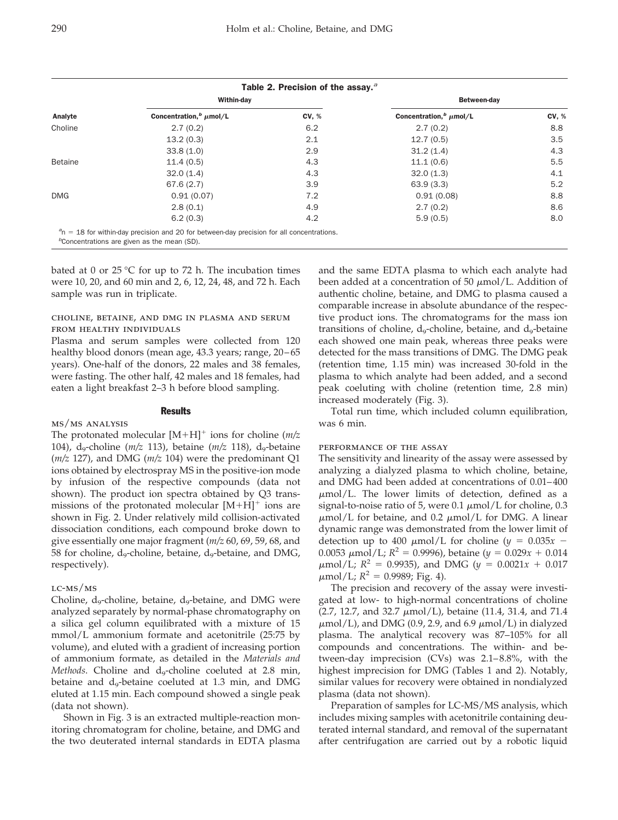|                |                                         | Table 2. Precision of the assay. <sup>a</sup> |                                         |       |  |
|----------------|-----------------------------------------|-----------------------------------------------|-----------------------------------------|-------|--|
|                | Within-day                              |                                               | Between-day                             |       |  |
| Analyte        | Concentration, <sup>b</sup> $\mu$ mol/L | <b>CV, %</b>                                  | Concentration, <sup>b</sup> $\mu$ mol/L | CV, % |  |
| Choline        | 2.7(0.2)                                | 6.2                                           | 2.7(0.2)                                | 8.8   |  |
|                | 13.2(0.3)                               | 2.1                                           | 12.7(0.5)                               | 3.5   |  |
|                | 33.8(1.0)                               | 2.9                                           | 31.2(1.4)                               | 4.3   |  |
| <b>Betaine</b> | 11.4(0.5)                               | 4.3                                           | 11.1(0.6)                               | 5.5   |  |
|                | 32.0(1.4)                               | 4.3                                           | 32.0(1.3)                               | 4.1   |  |
|                | 67.6(2.7)                               | 3.9                                           | 63.9(3.3)                               | 5.2   |  |
| <b>DMG</b>     | 0.91(0.07)                              | 7.2                                           | 0.91(0.08)                              | 8.8   |  |
|                | 2.8(0.1)                                | 4.9                                           | 2.7(0.2)                                | 8.6   |  |
|                | 6.2(0.3)                                | 4.2                                           | 5.9(0.5)                                | 8.0   |  |

bated at 0 or 25  $\degree$ C for up to 72 h. The incubation times were 10, 20, and 60 min and 2, 6, 12, 24, 48, and 72 h. Each sample was run in triplicate.

# choline, betaine, and dmg in plasma and serum from healthy individuals

Plasma and serum samples were collected from 120 healthy blood donors (mean age, 43.3 years; range, 20-65 years). One-half of the donors, 22 males and 38 females, were fasting. The other half, 42 males and 18 females, had eaten a light breakfast 2–3 h before blood sampling.

# **Results**

## ms/ms analysis

The protonated molecular  $[M+H]^+$  ions for choline ( $m/z$ 104), d<sub>9</sub>-choline ( $m/z$  113), betaine ( $m/z$  118), d<sub>9</sub>-betaine (*m/z* 127), and DMG (*m/z* 104) were the predominant Q1 ions obtained by electrospray MS in the positive-ion mode by infusion of the respective compounds (data not shown). The product ion spectra obtained by Q3 transmissions of the protonated molecular  $[M+H]^+$  ions are shown in Fig. 2. Under relatively mild collision-activated dissociation conditions, each compound broke down to give essentially one major fragment (*m/z* 60, 69, 59, 68, and 58 for choline,  $d_9$ -choline, betaine,  $d_9$ -betaine, and DMG, respectively).

## $LC-MS/MS$

Choline,  $d_9$ -choline, betaine,  $d_9$ -betaine, and DMG were analyzed separately by normal-phase chromatography on a silica gel column equilibrated with a mixture of 15 mmol/L ammonium formate and acetonitrile (25:75 by volume), and eluted with a gradient of increasing portion of ammonium formate, as detailed in the *Materials and Methods*. Choline and d<sub>9</sub>-choline coeluted at 2.8 min, betaine and d<sub>9</sub>-betaine coeluted at 1.3 min, and DMG eluted at 1.15 min. Each compound showed a single peak (data not shown).

Shown in Fig. 3 is an extracted multiple-reaction monitoring chromatogram for choline, betaine, and DMG and the two deuterated internal standards in EDTA plasma and the same EDTA plasma to which each analyte had been added at a concentration of 50  $\mu$ mol/L. Addition of authentic choline, betaine, and DMG to plasma caused a comparable increase in absolute abundance of the respective product ions. The chromatograms for the mass ion transitions of choline,  $d_q$ -choline, betaine, and  $d_q$ -betaine each showed one main peak, whereas three peaks were detected for the mass transitions of DMG. The DMG peak (retention time, 1.15 min) was increased 30-fold in the plasma to which analyte had been added, and a second peak coeluting with choline (retention time, 2.8 min) increased moderately (Fig. 3).

Total run time, which included column equilibration, was 6 min.

# performance of the assay

The sensitivity and linearity of the assay were assessed by analyzing a dialyzed plasma to which choline, betaine, and DMG had been added at concentrations of 0.01–400  $\mu$ mol/L. The lower limits of detection, defined as a signal-to-noise ratio of 5, were  $0.1 \mu \text{mol/L}$  for choline, 0.3  $\mu$ mol/L for betaine, and 0.2  $\mu$ mol/L for DMG. A linear dynamic range was demonstrated from the lower limit of detection up to 400  $\mu$ mol/L for choline ( $y = 0.035x$  – 0.0053  $\mu$ mol/L;  $R^2 = 0.9996$ ), betaine ( $\psi = 0.029x + 0.014$  $\mu$ mol/L;  $R^2 = 0.9935$ ), and DMG ( $y = 0.0021x + 0.017$  $\mu$ mol/L;  $R^2 = 0.9989$ ; Fig. 4).

The precision and recovery of the assay were investigated at low- to high-normal concentrations of choline (2.7, 12.7, and 32.7  $\mu$ mol/L), betaine (11.4, 31.4, and 71.4  $\mu$ mol/L), and DMG (0.9, 2.9, and 6.9  $\mu$ mol/L) in dialyzed plasma. The analytical recovery was 87–105% for all compounds and concentrations. The within- and between-day imprecision (CVs) was 2.1–8.8%, with the highest imprecision for DMG (Tables 1 and 2). Notably, similar values for recovery were obtained in nondialyzed plasma (data not shown).

Preparation of samples for LC-MS/MS analysis, which includes mixing samples with acetonitrile containing deuterated internal standard, and removal of the supernatant after centrifugation are carried out by a robotic liquid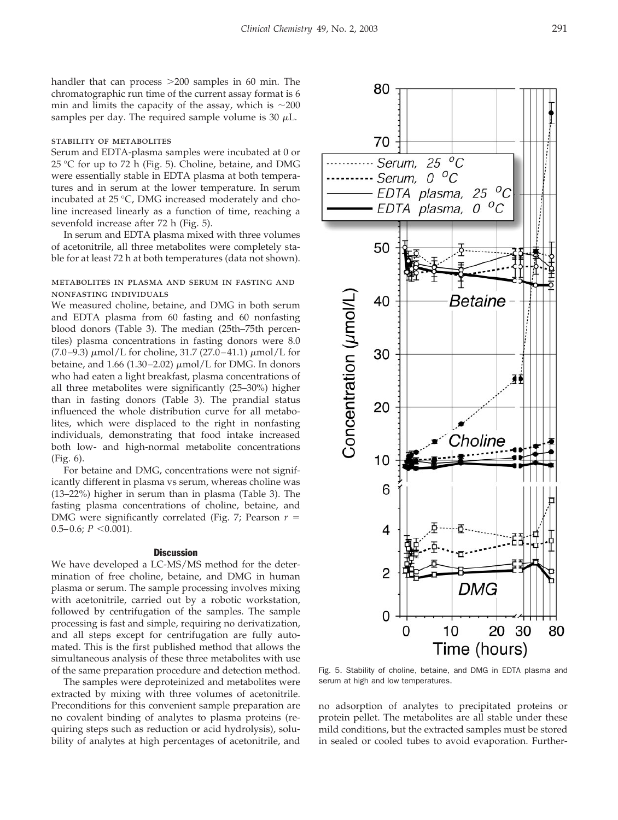handler that can process  $>200$  samples in 60 min. The chromatographic run time of the current assay format is 6 min and limits the capacity of the assay, which is  $\sim$ 200 samples per day. The required sample volume is 30  $\mu$ L.

# stability of metabolites

Serum and EDTA-plasma samples were incubated at 0 or 25 °C for up to 72 h (Fig. 5). Choline, betaine, and DMG were essentially stable in EDTA plasma at both temperatures and in serum at the lower temperature. In serum incubated at 25 °C, DMG increased moderately and choline increased linearly as a function of time, reaching a sevenfold increase after 72 h (Fig. 5).

In serum and EDTA plasma mixed with three volumes of acetonitrile, all three metabolites were completely stable for at least 72 h at both temperatures (data not shown).

# metabolites in plasma and serum in fasting and nonfasting individuals

We measured choline, betaine, and DMG in both serum and EDTA plasma from 60 fasting and 60 nonfasting blood donors (Table 3). The median (25th–75th percentiles) plasma concentrations in fasting donors were 8.0 (7.0-9.3)  $\mu$ mol/L for choline, 31.7 (27.0-41.1)  $\mu$ mol/L for betaine, and  $1.66$  (1.30–2.02)  $\mu$ mol/L for DMG. In donors who had eaten a light breakfast, plasma concentrations of all three metabolites were significantly (25–30%) higher than in fasting donors (Table 3). The prandial status influenced the whole distribution curve for all metabolites, which were displaced to the right in nonfasting individuals, demonstrating that food intake increased both low- and high-normal metabolite concentrations (Fig. 6).

For betaine and DMG, concentrations were not significantly different in plasma vs serum, whereas choline was (13–22%) higher in serum than in plasma (Table 3). The fasting plasma concentrations of choline, betaine, and DMG were significantly correlated (Fig. 7; Pearson  $r =$  $0.5-0.6; P \leq 0.001$ ).

#### **Discussion**

We have developed a LC-MS/MS method for the determination of free choline, betaine, and DMG in human plasma or serum. The sample processing involves mixing with acetonitrile, carried out by a robotic workstation, followed by centrifugation of the samples. The sample processing is fast and simple, requiring no derivatization, and all steps except for centrifugation are fully automated. This is the first published method that allows the simultaneous analysis of these three metabolites with use of the same preparation procedure and detection method.

The samples were deproteinized and metabolites were extracted by mixing with three volumes of acetonitrile. Preconditions for this convenient sample preparation are no covalent binding of analytes to plasma proteins (requiring steps such as reduction or acid hydrolysis), solubility of analytes at high percentages of acetonitrile, and

Fig. 5. Stability of choline, betaine, and DMG in EDTA plasma and serum at high and low temperatures.

no adsorption of analytes to precipitated proteins or protein pellet. The metabolites are all stable under these mild conditions, but the extracted samples must be stored in sealed or cooled tubes to avoid evaporation. Further

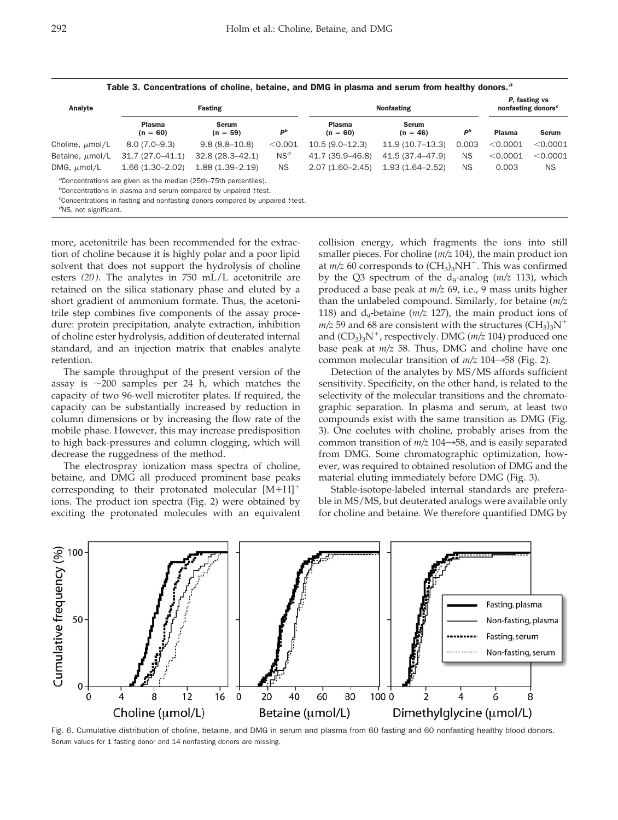| Analyte                       |                      | Fasting                                                                                                                                                                                                                                                   | <b>Nonfasting</b> |                      |                            | P, fasting vs<br>nonfasting donors <sup>c</sup> |               |              |
|-------------------------------|----------------------|-----------------------------------------------------------------------------------------------------------------------------------------------------------------------------------------------------------------------------------------------------------|-------------------|----------------------|----------------------------|-------------------------------------------------|---------------|--------------|
|                               | Plasma<br>$(n = 60)$ | <b>Serum</b><br>$(n = 59)$                                                                                                                                                                                                                                | $P^b$             | Plasma<br>$(n = 60)$ | <b>Serum</b><br>$(n = 46)$ | $P^b$                                           | <b>Plasma</b> | <b>Serum</b> |
| Choline, $\mu$ mol/L          | $8.0(7.0-9.3)$       | $9.8(8.8 - 10.8)$                                                                                                                                                                                                                                         | < 0.001           | $10.5(9.0-12.3)$     | $11.9(10.7-13.3)$          | 0.003                                           | $<$ 0.0001    | < 0.0001     |
| Betaine, $\mu$ mol/L          | $31.7(27.0 - 41.1)$  | $32.8(28.3 - 42.1)$                                                                                                                                                                                                                                       | NS <sup>d</sup>   | 41.7 (35.9–46.8)     | 41.5 (37.4-47.9)           | <b>NS</b>                                       | $<$ 0.0001    | < 0.0001     |
| DMG, $\mu$ mol/L              | $1.66(1.30 - 2.02)$  | $1.88(1.39 - 2.19)$                                                                                                                                                                                                                                       | <b>NS</b>         | $2.07(1.60 - 2.45)$  | $1.93(1.64 - 2.52)$        | <b>NS</b>                                       | 0.003         | NS.          |
| $\sigma$ NS, not significant. |                      | <sup>a</sup> Concentrations are given as the median (25th–75th percentiles).<br><sup>b</sup> Concentrations in plasma and serum compared by unpaired t-test.<br><sup>c</sup> Concentrations in fasting and nonfasting donors compared by unpaired t-test. |                   |                      |                            |                                                 |               |              |

Table 3. Concentrations of choline, betaine, and DMG in plasma and serum from healthy donors.*<sup>a</sup>*

more, acetonitrile has been recommended for the extraction of choline because it is highly polar and a poor lipid solvent that does not support the hydrolysis of choline esters *(20)*. The analytes in 750 mL/L acetonitrile are retained on the silica stationary phase and eluted by a short gradient of ammonium formate. Thus, the acetonitrile step combines five components of the assay procedure: protein precipitation, analyte extraction, inhibition of choline ester hydrolysis, addition of deuterated internal standard, and an injection matrix that enables analyte retention.

The sample throughput of the present version of the assay is  $\sim$ 200 samples per 24 h, which matches the capacity of two 96-well microtiter plates. If required, the capacity can be substantially increased by reduction in column dimensions or by increasing the flow rate of the mobile phase. However, this may increase predisposition to high back-pressures and column clogging, which will decrease the ruggedness of the method.

The electrospray ionization mass spectra of choline, betaine, and DMG all produced prominent base peaks corresponding to their protonated molecular  $[M+H]^+$ ions. The product ion spectra (Fig. 2) were obtained by exciting the protonated molecules with an equivalent collision energy, which fragments the ions into still smaller pieces. For choline (*m/z* 104), the main product ion at  $m/z$  60 corresponds to  $(CH_3)_3NH^+$ . This was confirmed by the Q3 spectrum of the  $d_9$ -analog  $(m/z 113)$ , which produced a base peak at *m/z* 69, i.e., 9 mass units higher than the unlabeled compound. Similarly, for betaine (*m/z*  118) and  $d_{9}$ -betaine ( $m/z$  127), the main product ions of  $m/z$  59 and 68 are consistent with the structures  $(CH_3)_3N^+$ and  $(CD_3)_3N^+$ , respectively. DMG ( $m/z$  104) produced one base peak at *m/z* 58. Thus, DMG and choline have one common molecular transition of  $m/z$  104 $\rightarrow$ 58 (Fig. 2).

Detection of the analytes by MS/MS affords sufficient sensitivity. Specificity, on the other hand, is related to the selectivity of the molecular transitions and the chromatographic separation. In plasma and serum, at least two compounds exist with the same transition as DMG (Fig. 3). One coelutes with choline, probably arises from the common transition of  $m/z$  104 $\rightarrow$ 58, and is easily separated from DMG. Some chromatographic optimization, however, was required to obtained resolution of DMG and the material eluting immediately before DMG (Fig. 3).

Stable-isotope-labeled internal standards are preferable in MS/MS, but deuterated analogs were available only for choline and betaine. We therefore quantified DMG by



Fig. 6. Cumulative distribution of choline, betaine, and DMG in serum and plasma from 60 fasting and 60 nonfasting healthy blood donors. Serum values for 1 fasting donor and 14 nonfasting donors are missing.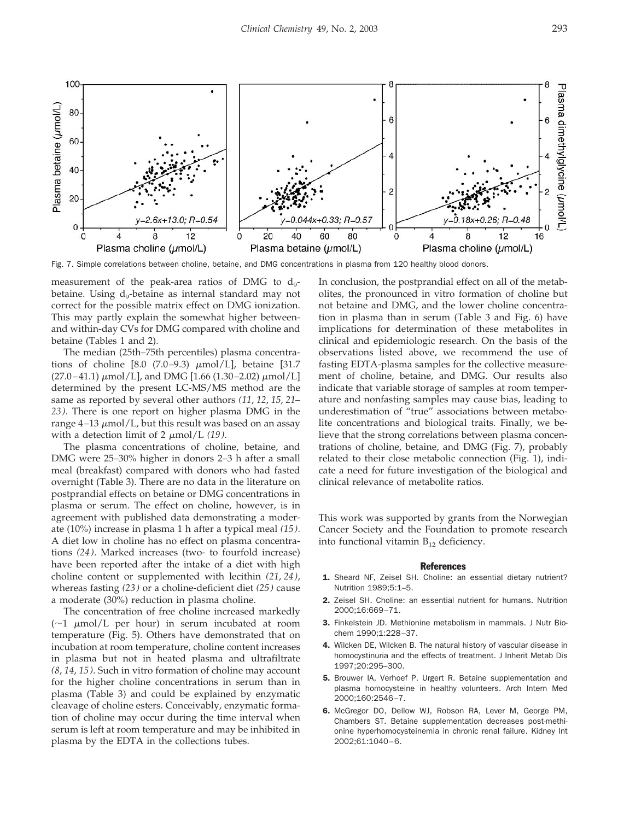

Fig. 7. Simple correlations between choline, betaine, and DMG concentrations in plasma from 120 healthy blood donors.

measurement of the peak-area ratios of DMG to  $d_{9}$ betaine. Using  $d_9$ -betaine as internal standard may not correct for the possible matrix effect on DMG ionization. This may partly explain the somewhat higher betweenand within-day CVs for DMG compared with choline and betaine (Tables 1 and 2).

The median (25th–75th percentiles) plasma concentrations of choline  $[8.0 (7.0-9.3) \mu \text{mol/L}]$ , betaine  $[31.7]$  $(27.0-41.1) \mu$ mol/L], and DMG [1.66 (1.30–2.02)  $\mu$ mol/L] determined by the present LC-MS/MS method are the same as reported by several other authors *(11*, *12*, *15*, *21– 23 )*. There is one report on higher plasma DMG in the range  $4-13 \mu$ mol/L, but this result was based on an assay with a detection limit of 2  $\mu$ mol/L *(19)*.

The plasma concentrations of choline, betaine, and DMG were 25–30% higher in donors 2–3 h after a small meal (breakfast) compared with donors who had fasted overnight (Table 3). There are no data in the literature on postprandial effects on betaine or DMG concentrations in plasma or serum. The effect on choline, however, is in agreement with published data demonstrating a moderate (10%) increase in plasma 1 h after a typical meal *(15)*. A diet low in choline has no effect on plasma concentrations *(24)*. Marked increases (two- to fourfold increase) have been reported after the intake of a diet with high choline content or supplemented with lecithin *(21*, *24)*, whereas fasting *(23 )* or a choline-deficient diet *(25)* cause a moderate (30%) reduction in plasma choline.

The concentration of free choline increased markedly  $(\sim 1 \mu \text{mol/L per hour})$  in serum incubated at room temperature (Fig. 5). Others have demonstrated that on incubation at room temperature, choline content increases in plasma but not in heated plasma and ultrafiltrate *(8*, *14*, *15 )*. Such in vitro formation of choline may account for the higher choline concentrations in serum than in plasma (Table 3) and could be explained by enzymatic cleavage of choline esters. Conceivably, enzymatic formation of choline may occur during the time interval when serum is left at room temperature and may be inhibited in plasma by the EDTA in the collections tubes.

In conclusion, the postprandial effect on all of the metabolites, the pronounced in vitro formation of choline but not betaine and DMG, and the lower choline concentration in plasma than in serum (Table 3 and Fig. 6) have implications for determination of these metabolites in clinical and epidemiologic research. On the basis of the observations listed above, we recommend the use of fasting EDTA-plasma samples for the collective measurement of choline, betaine, and DMG. Our results also indicate that variable storage of samples at room temperature and nonfasting samples may cause bias, leading to underestimation of "true" associations between metabolite concentrations and biological traits. Finally, we believe that the strong correlations between plasma concentrations of choline, betaine, and DMG (Fig. 7), probably related to their close metabolic connection (Fig. 1), indicate a need for future investigation of the biological and clinical relevance of metabolite ratios.

This work was supported by grants from the Norwegian Cancer Society and the Foundation to promote research into functional vitamin  $B_{12}$  deficiency.

#### References

- 1. Sheard NF, Zeisel SH. Choline: an essential dietary nutrient? Nutrition 1989;5:1–5.
- 2. Zeisel SH. Choline: an essential nutrient for humans. Nutrition 2000;16:669–71.
- 3. Finkelstein JD. Methionine metabolism in mammals. J Nutr Biochem 1990;1:228–37.
- 4. Wilcken DE, Wilcken B. The natural history of vascular disease in homocystinuria and the effects of treatment. J Inherit Metab Dis 1997;20:295–300.
- 5. Brouwer IA, Verhoef P, Urgert R. Betaine supplementation and plasma homocysteine in healthy volunteers. Arch Intern Med 2000;160:2546–7.
- 6. McGregor DO, Dellow WJ, Robson RA, Lever M, George PM, Chambers ST. Betaine supplementation decreases post-methionine hyperhomocysteinemia in chronic renal failure. Kidney Int 2002;61:1040–6.